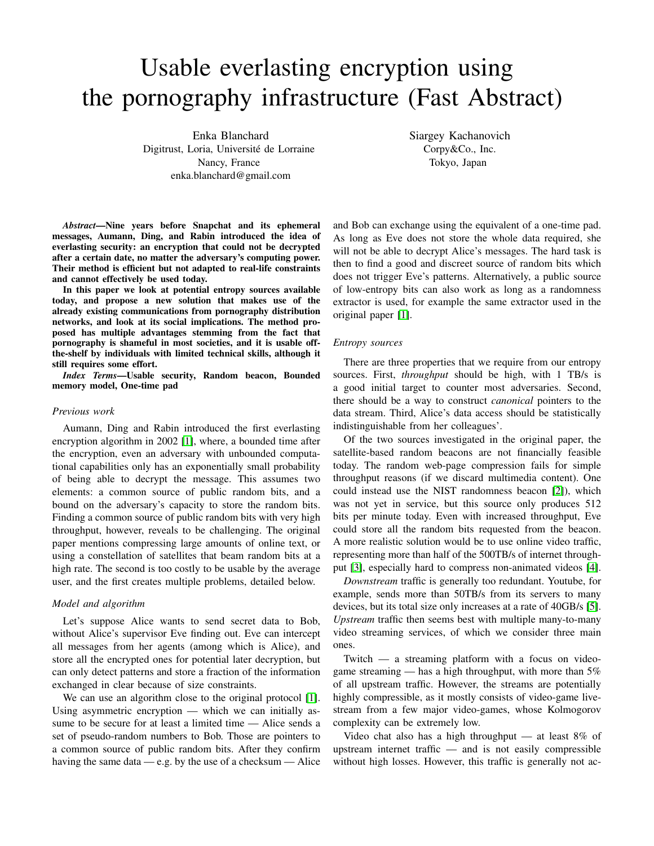# Usable everlasting encryption using the pornography infrastructure (Fast Abstract)

Enka Blanchard Digitrust, Loria, Université de Lorraine Nancy, France enka.blanchard@gmail.com

Siargey Kachanovich Corpy&Co., Inc. Tokyo, Japan

*Abstract*—Nine years before Snapchat and its ephemeral messages, Aumann, Ding, and Rabin introduced the idea of everlasting security: an encryption that could not be decrypted after a certain date, no matter the adversary's computing power. Their method is efficient but not adapted to real-life constraints and cannot effectively be used today.

In this paper we look at potential entropy sources available today, and propose a new solution that makes use of the already existing communications from pornography distribution networks, and look at its social implications. The method proposed has multiple advantages stemming from the fact that pornography is shameful in most societies, and it is usable offthe-shelf by individuals with limited technical skills, although it still requires some effort.

*Index Terms*—Usable security, Random beacon, Bounded memory model, One-time pad

#### *Previous work*

Aumann, Ding and Rabin introduced the first everlasting encryption algorithm in 2002 [\[1\]](#page-1-0), where, a bounded time after the encryption, even an adversary with unbounded computational capabilities only has an exponentially small probability of being able to decrypt the message. This assumes two elements: a common source of public random bits, and a bound on the adversary's capacity to store the random bits. Finding a common source of public random bits with very high throughput, however, reveals to be challenging. The original paper mentions compressing large amounts of online text, or using a constellation of satellites that beam random bits at a high rate. The second is too costly to be usable by the average user, and the first creates multiple problems, detailed below.

## *Model and algorithm*

Let's suppose Alice wants to send secret data to Bob, without Alice's supervisor Eve finding out. Eve can intercept all messages from her agents (among which is Alice), and store all the encrypted ones for potential later decryption, but can only detect patterns and store a fraction of the information exchanged in clear because of size constraints.

We can use an algorithm close to the original protocol [\[1\]](#page-1-0). Using asymmetric encryption — which we can initially assume to be secure for at least a limited time — Alice sends a set of pseudo-random numbers to Bob. Those are pointers to a common source of public random bits. After they confirm having the same data  $-e.g.$  by the use of a checksum  $-$  Alice and Bob can exchange using the equivalent of a one-time pad. As long as Eve does not store the whole data required, she will not be able to decrypt Alice's messages. The hard task is then to find a good and discreet source of random bits which does not trigger Eve's patterns. Alternatively, a public source of low-entropy bits can also work as long as a randomness extractor is used, for example the same extractor used in the original paper [\[1\]](#page-1-0).

#### *Entropy sources*

There are three properties that we require from our entropy sources. First, *throughput* should be high, with 1 TB/s is a good initial target to counter most adversaries. Second, there should be a way to construct *canonical* pointers to the data stream. Third, Alice's data access should be statistically indistinguishable from her colleagues'.

Of the two sources investigated in the original paper, the satellite-based random beacons are not financially feasible today. The random web-page compression fails for simple throughput reasons (if we discard multimedia content). One could instead use the NIST randomness beacon [\[2\]](#page-1-1)), which was not yet in service, but this source only produces 512 bits per minute today. Even with increased throughput, Eve could store all the random bits requested from the beacon. A more realistic solution would be to use online video traffic, representing more than half of the 500TB/s of internet throughput [\[3\]](#page-1-2), especially hard to compress non-animated videos [\[4\]](#page-1-3).

*Downstream* traffic is generally too redundant. Youtube, for example, sends more than 50TB/s from its servers to many devices, but its total size only increases at a rate of 40GB/s [\[5\]](#page-1-4). *Upstream* traffic then seems best with multiple many-to-many video streaming services, of which we consider three main ones.

Twitch — a streaming platform with a focus on videogame streaming — has a high throughput, with more than  $5\%$ of all upstream traffic. However, the streams are potentially highly compressible, as it mostly consists of video-game livestream from a few major video-games, whose Kolmogorov complexity can be extremely low.

Video chat also has a high throughput — at least  $8\%$  of upstream internet traffic — and is not easily compressible without high losses. However, this traffic is generally not ac